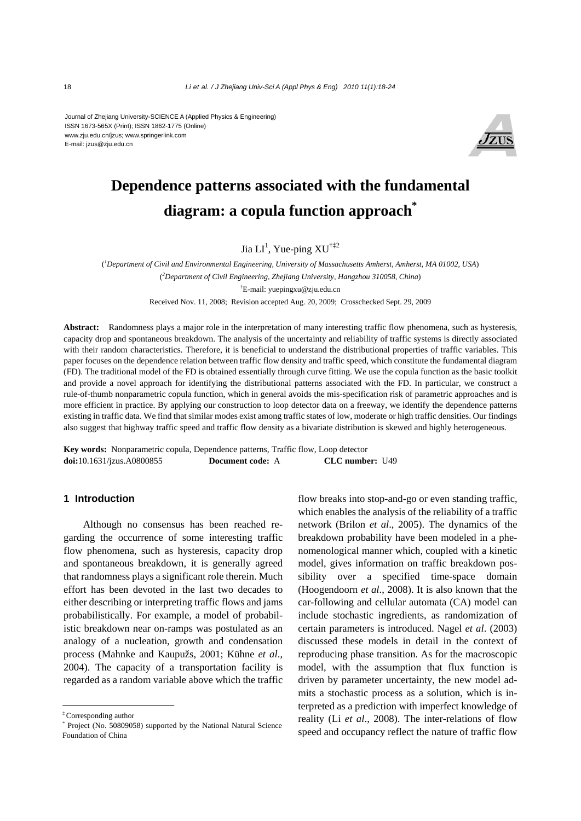#### Journal of Zhejiang University-SCIENCE A (Applied Physics & Engineering) ISSN 1673-565X (Print); ISSN 1862-1775 (Online) www.zju.edu.cn/jzus; www.springerlink.com E-mail: jzus@zju.edu.cn



# **Dependence patterns associated with the fundamental diagram: a copula function approach\***

Jia  $LI^1$ , Yue-ping  $XU^{\dagger\ddagger 2}$ 

( *1 Department of Civil and Environmental Engineering, University of Massachusetts Amherst, Amherst, MA 01002, USA*) ( *2 Department of Civil Engineering, Zhejiang University, Hangzhou 310058, China*) † E-mail: yuepingxu@zju.edu.cn Received Nov. 11, 2008; Revision accepted Aug. 20, 2009; Crosschecked Sept. 29, 2009

**Abstract:** Randomness plays a major role in the interpretation of many interesting traffic flow phenomena, such as hysteresis, capacity drop and spontaneous breakdown. The analysis of the uncertainty and reliability of traffic systems is directly associated with their random characteristics. Therefore, it is beneficial to understand the distributional properties of traffic variables. This paper focuses on the dependence relation between traffic flow density and traffic speed, which constitute the fundamental diagram (FD). The traditional model of the FD is obtained essentially through curve fitting. We use the copula function as the basic toolkit and provide a novel approach for identifying the distributional patterns associated with the FD. In particular, we construct a rule-of-thumb nonparametric copula function, which in general avoids the mis-specification risk of parametric approaches and is more efficient in practice. By applying our construction to loop detector data on a freeway, we identify the dependence patterns existing in traffic data. We find that similar modes exist among traffic states of low, moderate or high traffic densities. Our findings also suggest that highway traffic speed and traffic flow density as a bivariate distribution is skewed and highly heterogeneous.

**Key words:** Nonparametric copula, Dependence patterns, Traffic flow, Loop detector **doi:**10.1631/jzus.A0800855 **Document code:** A **CLC number:** U49

## **1 Introduction**

Although no consensus has been reached regarding the occurrence of some interesting traffic flow phenomena, such as hysteresis, capacity drop and spontaneous breakdown, it is generally agreed that randomness plays a significant role therein. Much effort has been devoted in the last two decades to either describing or interpreting traffic flows and jams probabilistically. For example, a model of probabilistic breakdown near on-ramps was postulated as an analogy of a nucleation, growth and condensation process (Mahnke and Kaupužs, 2001; Kühne *et al*., 2004). The capacity of a transportation facility is regarded as a random variable above which the traffic flow breaks into stop-and-go or even standing traffic, which enables the analysis of the reliability of a traffic network (Brilon *et al*., 2005). The dynamics of the breakdown probability have been modeled in a phenomenological manner which, coupled with a kinetic model, gives information on traffic breakdown possibility over a specified time-space domain (Hoogendoorn *et al*., 2008). It is also known that the car-following and cellular automata (CA) model can include stochastic ingredients, as randomization of certain parameters is introduced. Nagel *et al*. (2003) discussed these models in detail in the context of reproducing phase transition. As for the macroscopic model, with the assumption that flux function is driven by parameter uncertainty, the new model admits a stochastic process as a solution, which is interpreted as a prediction with imperfect knowledge of reality (Li *et al*., 2008). The inter-relations of flow speed and occupancy reflect the nature of traffic flow

<sup>‡</sup>Corresponding author

<sup>\*</sup> Project (No. 50809058) supported by the National Natural Science Foundation of China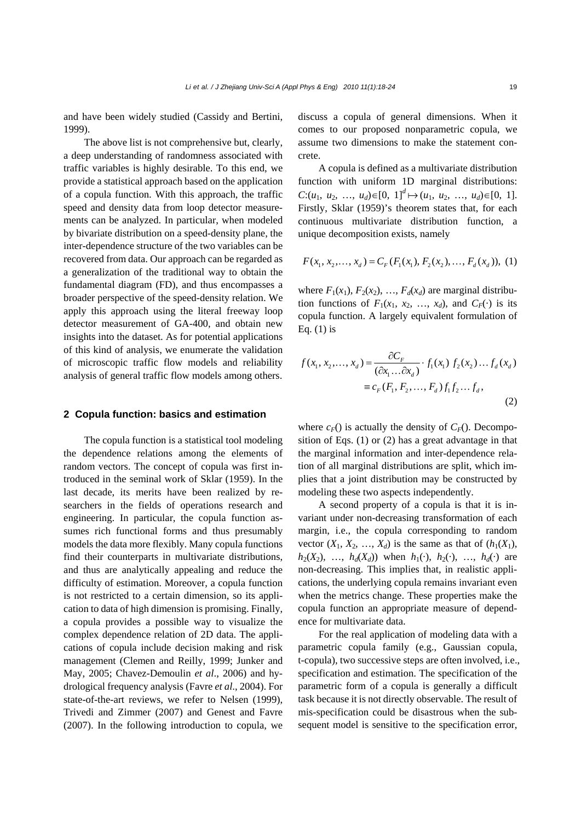and have been widely studied (Cassidy and Bertini, 1999).

The above list is not comprehensive but, clearly, a deep understanding of randomness associated with traffic variables is highly desirable. To this end, we provide a statistical approach based on the application of a copula function. With this approach, the traffic speed and density data from loop detector measurements can be analyzed. In particular, when modeled by bivariate distribution on a speed-density plane, the inter-dependence structure of the two variables can be recovered from data. Our approach can be regarded as a generalization of the traditional way to obtain the fundamental diagram (FD), and thus encompasses a broader perspective of the speed-density relation. We apply this approach using the literal freeway loop detector measurement of GA-400, and obtain new insights into the dataset. As for potential applications of this kind of analysis, we enumerate the validation of microscopic traffic flow models and reliability analysis of general traffic flow models among others.

#### **2 Copula function: basics and estimation**

The copula function is a statistical tool modeling the dependence relations among the elements of random vectors. The concept of copula was first introduced in the seminal work of Sklar (1959). In the last decade, its merits have been realized by researchers in the fields of operations research and engineering. In particular, the copula function assumes rich functional forms and thus presumably models the data more flexibly. Many copula functions find their counterparts in multivariate distributions, and thus are analytically appealing and reduce the difficulty of estimation. Moreover, a copula function is not restricted to a certain dimension, so its application to data of high dimension is promising. Finally, a copula provides a possible way to visualize the complex dependence relation of 2D data. The applications of copula include decision making and risk management (Clemen and Reilly, 1999; Junker and May, 2005; Chavez-Demoulin *et al*., 2006) and hydrological frequency analysis (Favre *et al*., 2004). For state-of-the-art reviews, we refer to Nelsen (1999), Trivedi and Zimmer (2007) and Genest and Favre (2007). In the following introduction to copula, we

discuss a copula of general dimensions. When it comes to our proposed nonparametric copula, we assume two dimensions to make the statement concrete.

A copula is defined as a multivariate distribution function with uniform 1D marginal distributions: *C*:(*u*<sub>1</sub>, *u*<sub>2</sub>, …, *u*<sub>*d*</sub>)∈[0, 1]<sup>*d*</sup>  $\mapsto$  (*u*<sub>1</sub>, *u*<sub>2</sub>, …, *u*<sub>*d*</sub>)∈[0, 1]. Firstly, Sklar (1959)'s theorem states that, for each continuous multivariate distribution function, a unique decomposition exists, namely

$$
F(x_1, x_2,..., x_d) = C_F(F_1(x_1), F_2(x_2),..., F_d(x_d)), (1)
$$

where  $F_1(x_1)$ ,  $F_2(x_2)$ , ...,  $F_d(x_d)$  are marginal distribution functions of  $F_1(x_1, x_2, ..., x_d)$ , and  $C_F(\cdot)$  is its copula function. A largely equivalent formulation of Eq. (1) is

$$
f(x_1, x_2,..., x_d) = \frac{\partial C_F}{(\partial x_1...\partial x_d)} \cdot f_1(x_1) f_2(x_2)...f_d(x_d)
$$
  
=  $c_F(F_1, F_2,..., F_d) f_1 f_2 ... f_d,$  (2)

where  $c_F()$  is actually the density of  $C_F()$ . Decomposition of Eqs. (1) or (2) has a great advantage in that the marginal information and inter-dependence relation of all marginal distributions are split, which implies that a joint distribution may be constructed by modeling these two aspects independently.

A second property of a copula is that it is invariant under non-decreasing transformation of each margin, i.e., the copula corresponding to random vector  $(X_1, X_2, \ldots, X_d)$  is the same as that of  $(h_1(X_1),$  $h_2(X_2)$ , …,  $h_d(X_d)$ ) when  $h_1(\cdot)$ ,  $h_2(\cdot)$ , …,  $h_d(\cdot)$  are non-decreasing. This implies that, in realistic applications, the underlying copula remains invariant even when the metrics change. These properties make the copula function an appropriate measure of dependence for multivariate data.

For the real application of modeling data with a parametric copula family (e.g., Gaussian copula, t-copula), two successive steps are often involved, i.e., specification and estimation. The specification of the parametric form of a copula is generally a difficult task because it is not directly observable. The result of mis-specification could be disastrous when the subsequent model is sensitive to the specification error,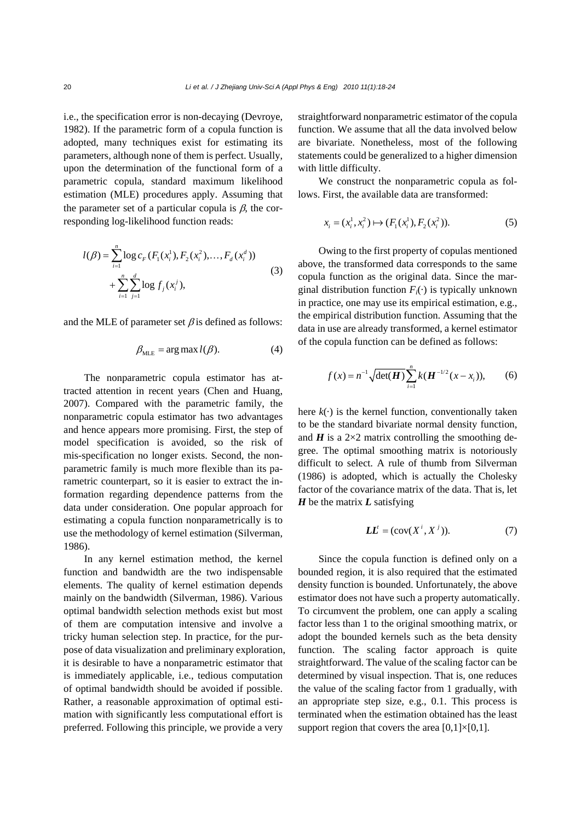i.e., the specification error is non-decaying (Devroye, 1982). If the parametric form of a copula function is adopted, many techniques exist for estimating its parameters, although none of them is perfect. Usually, upon the determination of the functional form of a parametric copula, standard maximum likelihood estimation (MLE) procedures apply. Assuming that the parameter set of a particular copula is  $\beta$ , the corresponding log-likelihood function reads:

$$
l(\beta) = \sum_{i=1}^{n} \log c_F(F_1(x_i^1), F_2(x_i^2), \dots, F_d(x_i^d))
$$
  
+ 
$$
\sum_{i=1}^{n} \sum_{j=1}^{d} \log f_j(x_i^j),
$$
 (3)

and the MLE of parameter set  $\beta$  is defined as follows:

$$
\beta_{MLE} = \arg \max l(\beta). \tag{4}
$$

The nonparametric copula estimator has attracted attention in recent years (Chen and Huang, 2007). Compared with the parametric family, the nonparametric copula estimator has two advantages and hence appears more promising. First, the step of model specification is avoided, so the risk of mis-specification no longer exists. Second, the nonparametric family is much more flexible than its parametric counterpart, so it is easier to extract the information regarding dependence patterns from the data under consideration. One popular approach for estimating a copula function nonparametrically is to use the methodology of kernel estimation (Silverman, 1986).

In any kernel estimation method, the kernel function and bandwidth are the two indispensable elements. The quality of kernel estimation depends mainly on the bandwidth (Silverman, 1986). Various optimal bandwidth selection methods exist but most of them are computation intensive and involve a tricky human selection step. In practice, for the purpose of data visualization and preliminary exploration, it is desirable to have a nonparametric estimator that is immediately applicable, i.e., tedious computation of optimal bandwidth should be avoided if possible. Rather, a reasonable approximation of optimal estimation with significantly less computational effort is preferred. Following this principle, we provide a very

straightforward nonparametric estimator of the copula function. We assume that all the data involved below are bivariate. Nonetheless, most of the following statements could be generalized to a higher dimension with little difficulty.

We construct the nonparametric copula as follows. First, the available data are transformed:

$$
x_i = (x_i^1, x_i^2) \mapsto (F_1(x_i^1), F_2(x_i^2)).
$$
\n(5)

Owing to the first property of copulas mentioned above, the transformed data corresponds to the same copula function as the original data. Since the marginal distribution function  $F_i(\cdot)$  is typically unknown in practice, one may use its empirical estimation, e.g., the empirical distribution function. Assuming that the data in use are already transformed, a kernel estimator of the copula function can be defined as follows:

$$
f(x) = n^{-1} \sqrt{\det(\boldsymbol{H})} \sum_{i=1}^{n} k(\boldsymbol{H}^{-1/2}(x - x_i)), \qquad (6)
$$

here  $k(\cdot)$  is the kernel function, conventionally taken to be the standard bivariate normal density function, and  $H$  is a 2 $\times$ 2 matrix controlling the smoothing degree. The optimal smoothing matrix is notoriously difficult to select. A rule of thumb from Silverman (1986) is adopted, which is actually the Cholesky factor of the covariance matrix of the data. That is, let *H* be the matrix *L* satisfying

$$
LL^{t} = (cov(X^{i}, X^{j})).
$$
 (7)

Since the copula function is defined only on a bounded region, it is also required that the estimated density function is bounded. Unfortunately, the above estimator does not have such a property automatically. To circumvent the problem, one can apply a scaling factor less than 1 to the original smoothing matrix, or adopt the bounded kernels such as the beta density function. The scaling factor approach is quite straightforward. The value of the scaling factor can be determined by visual inspection. That is, one reduces the value of the scaling factor from 1 gradually, with an appropriate step size, e.g., 0.1. This process is terminated when the estimation obtained has the least support region that covers the area  $[0,1] \times [0,1]$ .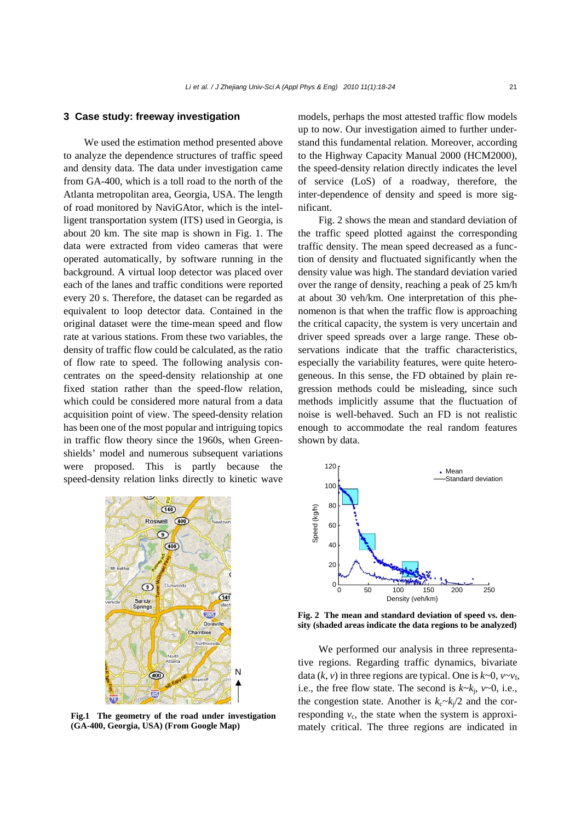### **3 Case study: freeway investigation**

We used the estimation method presented above to analyze the dependence structures of traffic speed and density data. The data under investigation came from GA-400, which is a toll road to the north of the Atlanta metropolitan area, Georgia, USA. The length of road monitored by NaviGAtor, which is the intelligent transportation system (ITS) used in Georgia, is about 20 km. The site map is shown in Fig. 1. The data were extracted from video cameras that were operated automatically, by software running in the background. A virtual loop detector was placed over each of the lanes and traffic conditions were reported every 20 s. Therefore, the dataset can be regarded as equivalent to loop detector data. Contained in the original dataset were the time-mean speed and flow rate at various stations. From these two variables, the density of traffic flow could be calculated, as the ratio of flow rate to speed. The following analysis concentrates on the speed-density relationship at one fixed station rather than the speed-flow relation, which could be considered more natural from a data acquisition point of view. The speed-density relation has been one of the most popular and intriguing topics in traffic flow theory since the 1960s, when Greenshields' model and numerous subsequent variations were proposed. This is partly because the speed-density relation links directly to kinetic wave

> $(140)$ Roswell  $(400)$  $\circ$  $(400)$  $\odot$  $(141)$ Springs 285 Dora N  $\overline{400}$  $\overline{65}$

**Fig.1 The geometry of the road under investigation (GA-400, Georgia, USA) (From Google Map)** 

models, perhaps the most attested traffic flow models up to now. Our investigation aimed to further understand this fundamental relation. Moreover, according to the Highway Capacity Manual 2000 (HCM2000), the speed-density relation directly indicates the level of service (LoS) of a roadway, therefore, the inter-dependence of density and speed is more significant.

Fig. 2 shows the mean and standard deviation of the traffic speed plotted against the corresponding traffic density. The mean speed decreased as a function of density and fluctuated significantly when the density value was high. The standard deviation varied over the range of density, reaching a peak of 25 km/h at about 30 veh/km. One interpretation of this phenomenon is that when the traffic flow is approaching the critical capacity, the system is very uncertain and driver speed spreads over a large range. These observations indicate that the traffic characteristics, especially the variability features, were quite heterogeneous. In this sense, the FD obtained by plain regression methods could be misleading, since such methods implicitly assume that the fluctuation of noise is well-behaved. Such an FD is not realistic enough to accommodate the real random features shown by data.



**Fig. 2 The mean and standard deviation of speed vs. density (shaded areas indicate the data regions to be analyzed)**

We performed our analysis in three representative regions. Regarding traffic dynamics, bivariate data  $(k, v)$  in three regions are typical. One is  $k \sim 0$ ,  $v \sim v_f$ , i.e., the free flow state. The second is  $k \sim k_i$ ,  $v \sim 0$ , i.e., the congestion state. Another is  $k_c \sim k_i/2$  and the corresponding  $v_c$ , the state when the system is approximately critical. The three regions are indicated in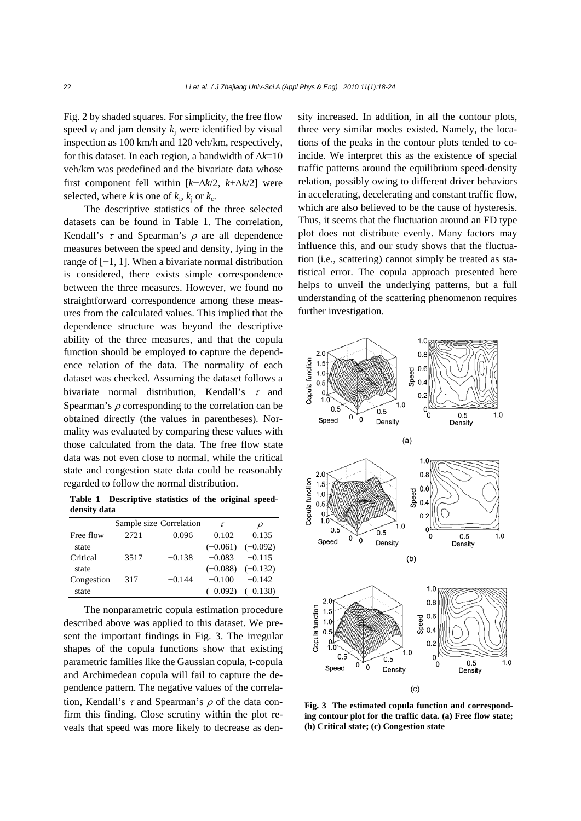Fig. 2 by shaded squares. For simplicity, the free flow speed  $v_f$  and jam density  $k_i$  were identified by visual inspection as 100 km/h and 120 veh/km, respectively, for this dataset. In each region, a bandwidth of Δ*k*=10 veh/km was predefined and the bivariate data whose first component fell within [*k*−Δ*k*/2, *k*+Δ*k*/2] were selected, where *k* is one of  $k_f$ ,  $k_i$  or  $k_c$ .

The descriptive statistics of the three selected datasets can be found in Table 1. The correlation, Kendall's  $\tau$  and Spearman's  $\rho$  are all dependence measures between the speed and density, lying in the range of [−1, 1]. When a bivariate normal distribution is considered, there exists simple correspondence between the three measures. However, we found no straightforward correspondence among these measures from the calculated values. This implied that the dependence structure was beyond the descriptive ability of the three measures, and that the copula function should be employed to capture the dependence relation of the data. The normality of each dataset was checked. Assuming the dataset follows a bivariate normal distribution, Kendall's  $\tau$  and Spearman's  $\rho$  corresponding to the correlation can be obtained directly (the values in parentheses). Normality was evaluated by comparing these values with those calculated from the data. The free flow state data was not even close to normal, while the critical state and congestion state data could be reasonably regarded to follow the normal distribution.

**Table 1 Descriptive statistics of the original speeddensity data**

|            |        | Sample size Correlation | τ          | ρ                     |
|------------|--------|-------------------------|------------|-----------------------|
| Free flow  | 2.72.1 | $-0.096$                | $-0.102$   | $-0.135$              |
| state      |        |                         | $(-0.061)$ | $(-0.092)$            |
| Critical   | 3517   | $-0.138$                | $-0.083$   | $-0.115$              |
| state      |        |                         |            | $(-0.088)$ $(-0.132)$ |
| Congestion | 317    | $-0.144$                | $-0.100$   | $-0.142$              |
| state      |        |                         | $(-0.092)$ | $(-0.138)$            |

The nonparametric copula estimation procedure described above was applied to this dataset. We present the important findings in Fig. 3. The irregular shapes of the copula functions show that existing parametric families like the Gaussian copula, t-copula and Archimedean copula will fail to capture the dependence pattern. The negative values of the correlation, Kendall's  $\tau$  and Spearman's  $\rho$  of the data confirm this finding. Close scrutiny within the plot reveals that speed was more likely to decrease as density increased. In addition, in all the contour plots, three very similar modes existed. Namely, the locations of the peaks in the contour plots tended to coincide. We interpret this as the existence of special traffic patterns around the equilibrium speed-density relation, possibly owing to different driver behaviors in accelerating, decelerating and constant traffic flow, which are also believed to be the cause of hysteresis. Thus, it seems that the fluctuation around an FD type plot does not distribute evenly. Many factors may influence this, and our study shows that the fluctuation (i.e., scattering) cannot simply be treated as statistical error. The copula approach presented here helps to unveil the underlying patterns, but a full understanding of the scattering phenomenon requires further investigation.



**Fig. 3 The estimated copula function and corresponding contour plot for the traffic data. (a) Free flow state; (b) Critical state; (c) Congestion state**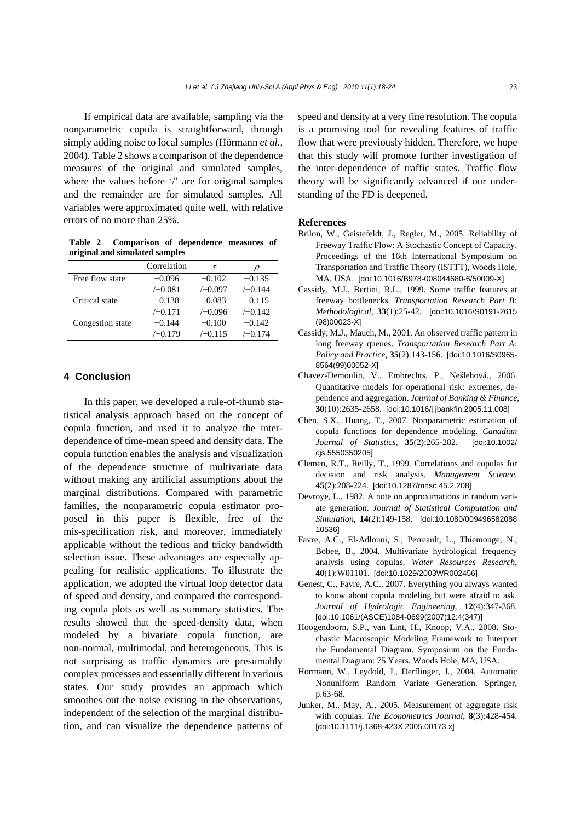If empirical data are available, sampling via the nonparametric copula is straightforward, through simply adding noise to local samples (Hörmann *et al.*, 2004). Table 2 shows a comparison of the dependence measures of the original and simulated samples, where the values before '/' are for original samples and the remainder are for simulated samples. All variables were approximated quite well, with relative errors of no more than 25%.

**Table 2 Comparison of dependence measures of original and simulated samples** 

|                  | Correlation | τ         | $\boldsymbol{\mathcal{D}}$ |
|------------------|-------------|-----------|----------------------------|
| Free flow state  | $-0.096$    | $-0.102$  | $-0.135$                   |
|                  | $/-0.081$   | $/-0.097$ | $/-0.144$                  |
| Critical state   | $-0.138$    | $-0.083$  | $-0.115$                   |
|                  | $/-0.171$   | $/-0.096$ | $/-0.142$                  |
| Congestion state | $-0.144$    | $-0.100$  | $-0.142$                   |
|                  | $/-0.179$   | $/-0.115$ | $/-0.174$                  |

## **4 Conclusion**

In this paper, we developed a rule-of-thumb statistical analysis approach based on the concept of copula function, and used it to analyze the interdependence of time-mean speed and density data. The copula function enables the analysis and visualization of the dependence structure of multivariate data without making any artificial assumptions about the marginal distributions. Compared with parametric families, the nonparametric copula estimator proposed in this paper is flexible, free of the mis-specification risk, and moreover, immediately applicable without the tedious and tricky bandwidth selection issue. These advantages are especially appealing for realistic applications. To illustrate the application, we adopted the virtual loop detector data of speed and density, and compared the corresponding copula plots as well as summary statistics. The results showed that the speed-density data, when modeled by a bivariate copula function, are non-normal, multimodal, and heterogeneous. This is not surprising as traffic dynamics are presumably complex processes and essentially different in various states. Our study provides an approach which smoothes out the noise existing in the observations, independent of the selection of the marginal distribution, and can visualize the dependence patterns of speed and density at a very fine resolution. The copula is a promising tool for revealing features of traffic flow that were previously hidden. Therefore, we hope that this study will promote further investigation of the inter-dependence of traffic states. Traffic flow theory will be significantly advanced if our understanding of the FD is deepened.

#### **References**

- Brilon, W., Geistefeldt, J., Regler, M., 2005. Reliability of Freeway Traffic Flow: A Stochastic Concept of Capacity. Proceedings of the 16th International Symposium on Transportation and Traffic Theory (ISTTT), Woods Hole, MA, USA. [doi:10.1016/B978-008044680-6/50009-X]
- Cassidy, M.J., Bertini, R.L., 1999. Some traffic features at freeway bottlenecks. *Transportation Research Part B: Methodological*, **33**(1):25-42. [doi:10.1016/S0191-2615 (98)00023-X]
- Cassidy, M.J., Mauch, M., 2001. An observed traffic pattern in long freeway queues. *Transportation Research Part A: Policy and Practice*, **35**(2):143-156. [doi:10.1016/S0965- 8564(99)00052-X]
- Chavez-Demoulin, V., Embrechts, P., Nešlehová., 2006. Quantitative models for operational risk: extremes, dependence and aggregation. *Journal of Banking & Finance*, **30**(10):2635-2658. [doi:10.1016/j.jbankfin.2005.11.008]
- Chen, S.X., Huang, T., 2007. Nonparametric estimation of copula functions for dependence modeling. *Canadian Journal of Statistics*, **35**(2):265-282. [doi:10.1002/ cjs.5550350205]
- Clemen, R.T., Reilly, T., 1999. Correlations and copulas for decision and risk analysis. *Management Science*, **45**(2):208-224. [doi:10.1287/mnsc.45.2.208]
- Devroye, L., 1982. A note on approximations in random variate generation. *Journal of Statistical Computation and Simulation*, **14**(2):149-158. [doi:10.1080/009496582088 10536]
- Favre, A.C., El-Adlouni, S., Perreault, L., Thiemonge, N., Bobee, B., 2004. Multivariate hydrological frequency analysis using copulas. *Water Resources Research*, **40**(1):W01101. [doi:10.1029/2003WR002456]
- Genest, C., Favre, A.C., 2007. Everything you always wanted to know about copula modeling but were afraid to ask. *Journal of Hydrologic Engineering*, **12**(4):347-368. [doi:10.1061/(ASCE)1084-0699(2007)12:4(347)]
- Hoogendoorn, S.P., van Lint, H., Knoop, V.A., 2008. Stochastic Macroscopic Modeling Framework to Interpret the Fundamental Diagram. Symposium on the Fundamental Diagram: 75 Years, Woods Hole, MA, USA.
- Hörmann, W., Leydold, J., Derflinger, J., 2004. Automatic Nonuniform Random Variate Generation. Springer, p.63-68.
- Junker, M., May, A., 2005. Measurement of aggregate risk with copulas. *The Econometrics Journal*, **8**(3):428-454. [doi:10.1111/j.1368-423X.2005.00173.x]